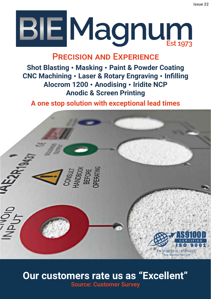# **BIE Magnum**

#### Precision and Experience

**Shot Blasting** • **Masking** • **Paint & Powder Coating CNC Machining** • **Laser & Rotary Engraving** • **Infilling Alocrom 1200** • **Anodising** • **Iridite NCP Anodic & Screen Printing**

**A one stop solution with exceptional lead times**



#### **Our customers rate us as "Excellent" Source: Customer Survey**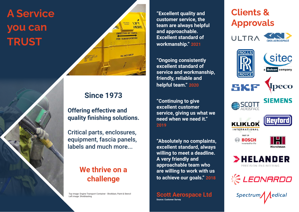## **A Service you can TRUST**



#### **Since 1973**

**Offering effective and quality finishing solutions.**

Critical parts, enclosures, equipment, fascia panels, labels and much more...

#### **We thrive on a challenge**

Top image: Engine Transport Container - Shotblast, Paint & Stencil Left image: Shotblasting

**"Excellent quality and customer service, the team are always helpful and approachable. Excellent standard of workmanship." 2021**

**"Ongoing consistently excellent standard of service and workmanship, friendly, reliable and helpful team." 2020**

**"Continuing to give excellent customer service, giving us what we need when we need it." 2019**

**"Absolutely no complaints, excellent standard, always willing to meet a deadline. A very friendly and approachable team who are willing to work with us to achieve our goals." 2018**



## **Clients & Approvals**











Spectrum/ Ledical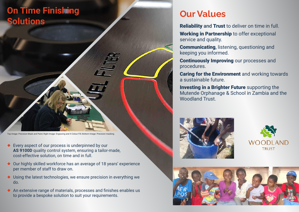## **On Time Finishing Solutions**

Top Image: Precision Mask and Paint; Right Image: Engraving and 4 Colour Fill; Bottom Image: Precision masking

- ◆ Every aspect of our process is underpinned by our **AS 9100D** quality control system, ensuring a tailor-made, cost-effective solution, on time and in full.
- ◆ Our highly skilled workforce has an average of 18 years' experience per member of staff to draw on.
- ◆ Using the latest technologies, we ensure precision in everything we do.
- ◆ An extensive range of materials, processes and finishes enables us to provide a bespoke solution to suit your requirements.

### **Our Values**

Reliability and Trust to deliver on time in full. Working in Partnership to offer exceptional service and quality.

Communicating, listening, questioning and keeping you informed.

Continuously Improving our processes and procedures.

Caring for the Environment and working towards a sustainable future.

Investing in a Brighter Future supporting the Mutende Orphanage & School in Zambia and the Woodland Trust.





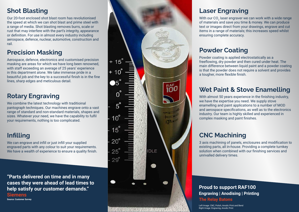#### **Shot Blasting**

Our 20-foot enclosed shot blast room has revolutionised the speed at which we can shot blast and prime steel with a range of media. Shot blasting removes burrs, scale or rust that may interfere with the part's integrity, appearance or definition. For use in almost every industry including aerospace, defence, nuclear, automotive, construction and rail.

#### **Precision Masking**

Aerospace, defence, electronics and customised precision masking are areas for which we have long been renowned, with staff exceeding an average of 25 years' experience in this department alone. We take immense pride in a beautiful job and the key to a successful finish is in the fine lines, sharp edges and meticulous detail.

#### **Rotary Engraving**

We combine the latest technology with traditioinal pantograph techniques. Our machines engrave onto a vast range of standard and non-standard materials, shapes and sizes. Whatever your need, we have the capability to fulfil your requirements, nothing is too complicated.

#### **Infilling**

We can engrave and infill or just infill your supplied engraved parts with any colour to suit your requirements. We have a wealth of experience to ensure a quality finish.

**"Parts delivered on time and in many cases they were ahead of lead times to help satisfy our customer demands." Siemens Source: Customer Survey**



#### **Laser Engraving**

With our  $CO<sub>2</sub>$  laser engraver we can work with a wide range of materials and save you time & money. We can produce text or images direct from your drawings, engrave and cut items in a range of materials; this increases speed whilst ensuring complete accuracy.

#### **Powder Coating**

Powder coating is applied electrostatically as a freeflowing, dry powder and then cured under heat. The main difference between liquid paint and a powder coating is that the powder does not require a solvent and provides a tougher, more flexible finish.

#### **Wet Paint & Stove Enamelling**

With almost 50 years experience in the finishing industry, we have the expertise you need. We supply stove enamelling and paint applications to a number of MOD and aerospace specifications, as well as to the electronics industry. Our team is highly skilled and experienced in complex masking and paint finishes.

#### **CNC Machining**

3 axis machining of panels, enclosures and modification to existing parts, all in-house. Providing a complete turnkey solution when combined with our finishing services and unrivalled delivery times.

**Proud to support RAF100 Engraving | Anodising | Printing The Relay Batons**

Left Image: CNC, Polish, Anodic Print and Bend Right Image: Engraving, Anodic Print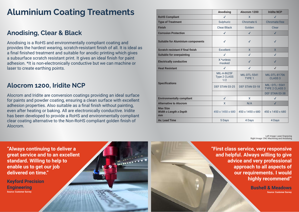### **Aluminium Coating Treatments**

#### **Anodising, Clear & Black**

Anodising is a RoHS and environmentally compliant coating and provides the hardest wearing, scratch-resistant finish of all. It is ideal as a final finished treatment and suitable for anodic printing which gives a subsurface scratch resistant print. It gives an ideal finish for paint adhesion. \*It is non-electronically conductive but we can machine or laser to create earthing points.

#### **Alocrom 1200, Iridite NCP**

Alocrom and Iridite are conversion coatings providing an ideal surface for paints and powder coating, ensuring a clean surface with excellent adhesion properties. Also suitable as a final finish without painting, even after heating or baking. All are electronically conductive. Iridite has been developed to provide a RoHS and environmentally compliant clear coating alternative to the Non-RoHS compliant golden finish of Alocrom.

|                                                        | <b>Anodising</b>                          | Alocrom 1200                             | <b>Iridite NCP</b>                      |
|--------------------------------------------------------|-------------------------------------------|------------------------------------------|-----------------------------------------|
| <b>RoHS Compliant</b>                                  | $\checkmark$                              | $\mathsf{x}$                             | $\checkmark$                            |
| <b>Type of Treatment</b>                               | Sulphuric                                 | Chromate 6                               | Chromate-free                           |
| <b>Finish</b>                                          | Clear/Black                               | Golden                                   | Clear                                   |
| <b>Corrosion Protection</b>                            | $\checkmark$                              | $\checkmark$                             | $\checkmark$                            |
| <b>Suitable for Aluminium components</b>               | $\checkmark$                              | $\checkmark$                             | $\checkmark$                            |
| <b>Scratch resistant if final finish</b>               | Excellent                                 | $\mathsf{x}$                             | $\mathsf{X}$                            |
| <b>Suitable for overpainting</b>                       | $\checkmark$                              | $\checkmark$                             | $\checkmark$                            |
| <b>Electrically conductive</b>                         | X *unless<br>masked                       | $\checkmark$                             | $\checkmark$                            |
| <b>Heat Resistant</b>                                  | $\checkmark$                              | $\checkmark$                             | $\checkmark$                            |
| <b>Specifications</b>                                  | MIL-A-8625F<br><b>Type 2 CLASS</b><br>1/2 | <b>MIL-DTL-5541</b><br>TYPE <sub>1</sub> | <b>MIL-DTL-81706</b><br><b>CLASS 3</b>  |
|                                                        | DEF STAN 03-25                            | DEF STAN 03-18                           | $MIL-DTL-5541$<br><b>TYPE 2 CLASS 3</b> |
|                                                        |                                           |                                          | DEF STAN 03-38                          |
| <b>Environmentally compliant</b>                       | $\checkmark$                              | X                                        | $\checkmark$                            |
| <b>Alternative to Alocrom</b>                          | X                                         | N/A                                      | $\checkmark$                            |
| <b>Max Size</b><br><b>Width x Length x Depth</b><br>mm | 450 x 1450 x 680                          | 450 x 1450 x 680                         | 450 x 1450 x 680                        |
| <b>Av. Lead Time</b>                                   | 5 Days                                    | 4 Days                                   | 4 Days                                  |

Left Image: Laser Engraving Right Image: CNC Machining and Anodising

**"First class service, very responsive and helpful. Always willing to give advice and very professional approach to all aspects of our requirements. I would highly recommend"**

> **Bushell & Meadows Source: Customer Survey**

**"Always continuing to deliver a great service and to an excellent standard. Willing to help to enable us to get our job delivered on time."**

**Keyford Precision Engineering Source: Customer Survey**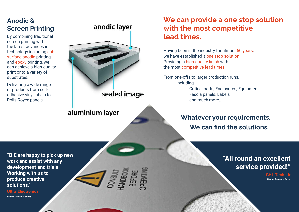#### **Anodic & Screen Printing**

By combining traditional screen printing with the latest advances in technology including subsurface anodic printing and epoxy printing, we can achieve a high-quality print onto a variety of substrates.

Delivering a wide range of products from selfadhesive vinyl labels to Rolls-Royce panels.



aluminium layer

#### **We can provide a one stop solution with the most competitive lead times.**

Having been in the industry for almost 50 years, we have established a one stop solution. Providing a high-quality finish with the most competitive lead times.

From one-offs to larger production runs, including Critical parts, Enclosures, Equipment, Fascia panels, Labels

and much more...

#### **Whatever your requirements, We can find the solutions.**

#### **"All round an excellent service provided!"**

**GHL Tech Ltd Source: Customer Survey**

**"BIE are happy to pick up new work and assist with any development and trials. Working with us to produce creative solutions."**

**Ultra Electronics**

**Source: Customer Survey**

## **J** SPEAK